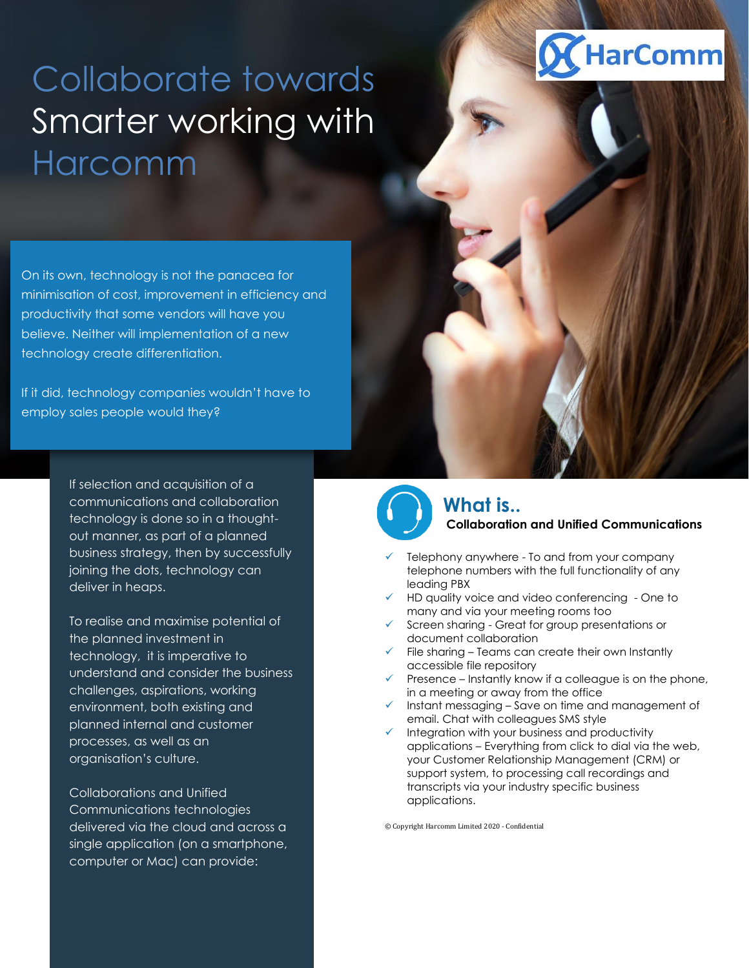## Collaborate towards Smarter working with Harcomm

On its own, technology is not the panacea for minimisation of cost, improvement in efficiency and productivity that some vendors will have you believe. Neither will implementation of a new technology create differentiation.

If it did, technology companies wouldn't have to employ sales people would they?

> If selection and acquisition of a communications and collaboration technology is done so in a thoughtout manner, as part of a planned business strategy, then by successfully joining the dots, technology can deliver in heaps.

> To realise and maximise potential of the planned investment in technology, it is imperative to understand and consider the business challenges, aspirations, working environment, both existing and planned internal and customer processes, as well as an organisation's culture.

Collaborations and Unified Communications technologies delivered via the cloud and across a single application (on a smartphone, computer or Mac) can provide:



### **What is.. Collaboration and Unified Communications**

- Telephony anywhere To and from your company telephone numbers with the full functionality of any leading PBX
- ✓ HD quality voice and video conferencing One to many and via your meeting rooms too
- ✓ Screen sharing Great for group presentations or document collaboration
- ✓ File sharing Teams can create their own Instantly accessible file repository
- $\checkmark$  Presence Instantly know if a colleague is on the phone, in a meeting or away from the office
- ✓ Instant messaging Save on time and management of email. Chat with colleagues SMS style
- $\checkmark$  Integration with your business and productivity applications – Everything from click to dial via the web, your Customer Relationship Management (CRM) or support system, to processing call recordings and transcripts via your industry specific business applications.

© Copyright Harcomm Limited 2020 - Confidential

# HarComm